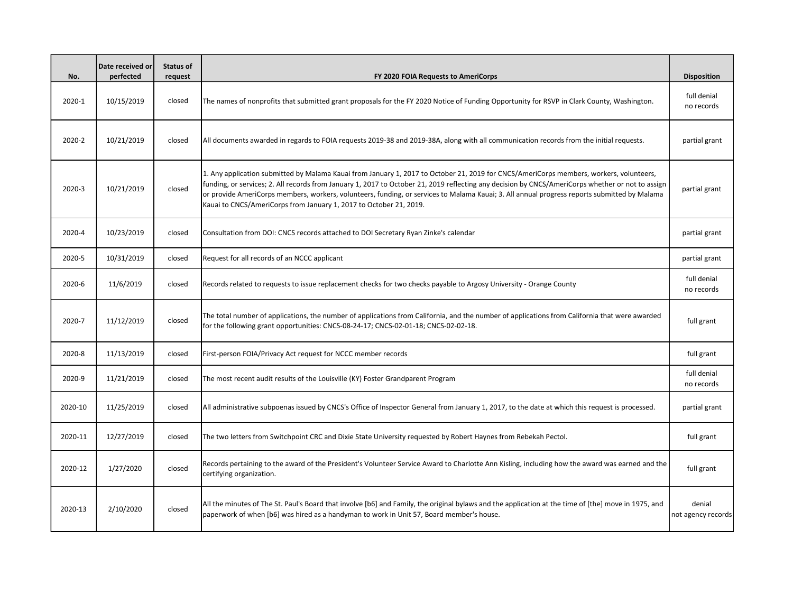| No.     | Date received or<br>perfected | Status of<br>request | FY 2020 FOIA Requests to AmeriCorps                                                                                                                                                                                                                                                                                                                                                                                                                                                                                | <b>Disposition</b>           |
|---------|-------------------------------|----------------------|--------------------------------------------------------------------------------------------------------------------------------------------------------------------------------------------------------------------------------------------------------------------------------------------------------------------------------------------------------------------------------------------------------------------------------------------------------------------------------------------------------------------|------------------------------|
| 2020-1  | 10/15/2019                    | closed               | The names of nonprofits that submitted grant proposals for the FY 2020 Notice of Funding Opportunity for RSVP in Clark County, Washington.                                                                                                                                                                                                                                                                                                                                                                         | full denial<br>no records    |
| 2020-2  | 10/21/2019                    | closed               | All documents awarded in regards to FOIA requests 2019-38 and 2019-38A, along with all communication records from the initial requests.                                                                                                                                                                                                                                                                                                                                                                            | partial grant                |
| 2020-3  | 10/21/2019                    | closed               | 1. Any application submitted by Malama Kauai from January 1, 2017 to October 21, 2019 for CNCS/AmeriCorps members, workers, volunteers,<br>funding, or services; 2. All records from January 1, 2017 to October 21, 2019 reflecting any decision by CNCS/AmeriCorps whether or not to assign<br>or provide AmeriCorps members, workers, volunteers, funding, or services to Malama Kauai; 3. All annual progress reports submitted by Malama<br>Kauai to CNCS/AmeriCorps from January 1, 2017 to October 21, 2019. | partial grant                |
| 2020-4  | 10/23/2019                    | closed               | Consultation from DOI: CNCS records attached to DOI Secretary Ryan Zinke's calendar                                                                                                                                                                                                                                                                                                                                                                                                                                | partial grant                |
| 2020-5  | 10/31/2019                    | closed               | Request for all records of an NCCC applicant                                                                                                                                                                                                                                                                                                                                                                                                                                                                       | partial grant                |
| 2020-6  | 11/6/2019                     | closed               | Records related to requests to issue replacement checks for two checks payable to Argosy University - Orange County                                                                                                                                                                                                                                                                                                                                                                                                | full denial<br>no records    |
| 2020-7  | 11/12/2019                    | closed               | The total number of applications, the number of applications from California, and the number of applications from California that were awarded<br>for the following grant opportunities: CNCS-08-24-17; CNCS-02-01-18; CNCS-02-02-18.                                                                                                                                                                                                                                                                              | full grant                   |
| 2020-8  | 11/13/2019                    | closed               | First-person FOIA/Privacy Act request for NCCC member records                                                                                                                                                                                                                                                                                                                                                                                                                                                      | full grant                   |
| 2020-9  | 11/21/2019                    | closed               | The most recent audit results of the Louisville (KY) Foster Grandparent Program                                                                                                                                                                                                                                                                                                                                                                                                                                    | full denial<br>no records    |
| 2020-10 | 11/25/2019                    | closed               | All administrative subpoenas issued by CNCS's Office of Inspector General from January 1, 2017, to the date at which this request is processed.                                                                                                                                                                                                                                                                                                                                                                    | partial grant                |
| 2020-11 | 12/27/2019                    | closed               | The two letters from Switchpoint CRC and Dixie State University requested by Robert Haynes from Rebekah Pectol.                                                                                                                                                                                                                                                                                                                                                                                                    | full grant                   |
| 2020-12 | 1/27/2020                     | closed               | Records pertaining to the award of the President's Volunteer Service Award to Charlotte Ann Kisling, including how the award was earned and the<br>certifying organization.                                                                                                                                                                                                                                                                                                                                        | full grant                   |
| 2020-13 | 2/10/2020                     | closed               | All the minutes of The St. Paul's Board that involve [b6] and Family, the original bylaws and the application at the time of [the] move in 1975, and<br>paperwork of when [b6] was hired as a handyman to work in Unit 57, Board member's house.                                                                                                                                                                                                                                                                   | denial<br>not agency records |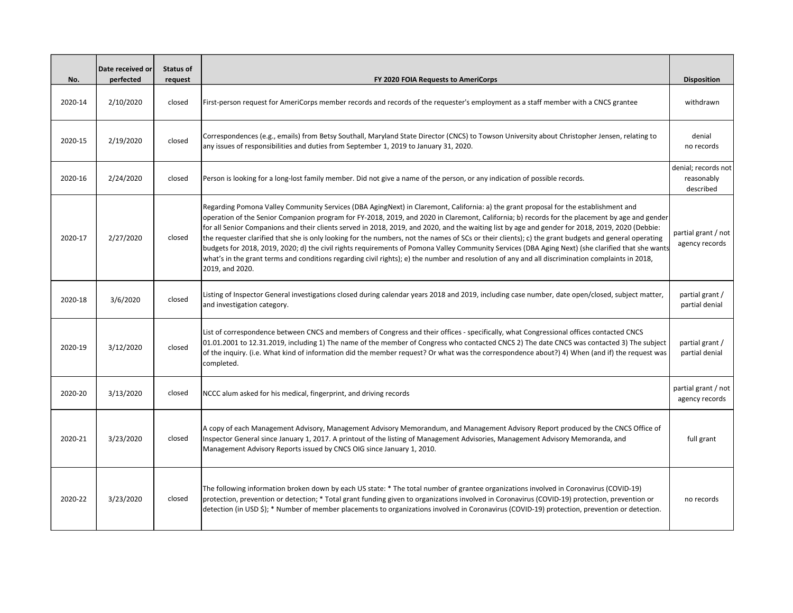| No.     | Date received or<br>perfected | Status of<br>request | FY 2020 FOIA Requests to AmeriCorps                                                                                                                                                                                                                                                                                                                                                                                                                                                                                                                                                                                                                                                                                                                                                                                                                                                                                            | <b>Disposition</b>                             |
|---------|-------------------------------|----------------------|--------------------------------------------------------------------------------------------------------------------------------------------------------------------------------------------------------------------------------------------------------------------------------------------------------------------------------------------------------------------------------------------------------------------------------------------------------------------------------------------------------------------------------------------------------------------------------------------------------------------------------------------------------------------------------------------------------------------------------------------------------------------------------------------------------------------------------------------------------------------------------------------------------------------------------|------------------------------------------------|
| 2020-14 | 2/10/2020                     | closed               | First-person request for AmeriCorps member records and records of the requester's employment as a staff member with a CNCS grantee                                                                                                                                                                                                                                                                                                                                                                                                                                                                                                                                                                                                                                                                                                                                                                                             | withdrawn                                      |
| 2020-15 | 2/19/2020                     | closed               | Correspondences (e.g., emails) from Betsy Southall, Maryland State Director (CNCS) to Towson University about Christopher Jensen, relating to<br>any issues of responsibilities and duties from September 1, 2019 to January 31, 2020.                                                                                                                                                                                                                                                                                                                                                                                                                                                                                                                                                                                                                                                                                         | denial<br>no records                           |
| 2020-16 | 2/24/2020                     | closed               | Person is looking for a long-lost family member. Did not give a name of the person, or any indication of possible records.                                                                                                                                                                                                                                                                                                                                                                                                                                                                                                                                                                                                                                                                                                                                                                                                     | denial; records not<br>reasonably<br>described |
| 2020-17 | 2/27/2020                     | closed               | Regarding Pomona Valley Community Services (DBA AgingNext) in Claremont, California: a) the grant proposal for the establishment and<br>operation of the Senior Companion program for FY-2018, 2019, and 2020 in Claremont, California; b) records for the placement by age and gender<br>for all Senior Companions and their clients served in 2018, 2019, and 2020, and the waiting list by age and gender for 2018, 2019, 2020 (Debbie:<br>the requester clarified that she is only looking for the numbers, not the names of SCs or their clients); c) the grant budgets and general operating<br>budgets for 2018, 2019, 2020; d) the civil rights requirements of Pomona Valley Community Services (DBA Aging Next) (she clarified that she wants<br>what's in the grant terms and conditions regarding civil rights); e) the number and resolution of any and all discrimination complaints in 2018,<br>2019, and 2020. | partial grant / not<br>agency records          |
| 2020-18 | 3/6/2020                      | closed               | Listing of Inspector General investigations closed during calendar years 2018 and 2019, including case number, date open/closed, subject matter,<br>and investigation category.                                                                                                                                                                                                                                                                                                                                                                                                                                                                                                                                                                                                                                                                                                                                                | partial grant /<br>partial denial              |
| 2020-19 | 3/12/2020                     | closed               | List of correspondence between CNCS and members of Congress and their offices - specifically, what Congressional offices contacted CNCS<br>01.01.2001 to 12.31.2019, including 1) The name of the member of Congress who contacted CNCS 2) The date CNCS was contacted 3) The subject<br>of the inquiry. (i.e. What kind of information did the member request? Or what was the correspondence about?) 4) When (and if) the request was<br>completed.                                                                                                                                                                                                                                                                                                                                                                                                                                                                          | partial grant /<br>partial denial              |
| 2020-20 | 3/13/2020                     | closed               | NCCC alum asked for his medical, fingerprint, and driving records                                                                                                                                                                                                                                                                                                                                                                                                                                                                                                                                                                                                                                                                                                                                                                                                                                                              | partial grant / not<br>agency records          |
| 2020-21 | 3/23/2020                     | closed               | A copy of each Management Advisory, Management Advisory Memorandum, and Management Advisory Report produced by the CNCS Office of<br>Inspector General since January 1, 2017. A printout of the listing of Management Advisories, Management Advisory Memoranda, and<br>Management Advisory Reports issued by CNCS OIG since January 1, 2010.                                                                                                                                                                                                                                                                                                                                                                                                                                                                                                                                                                                  | full grant                                     |
| 2020-22 | 3/23/2020                     | closed               | The following information broken down by each US state: * The total number of grantee organizations involved in Coronavirus (COVID-19)<br>protection, prevention or detection; * Total grant funding given to organizations involved in Coronavirus (COVID-19) protection, prevention or<br>detection (in USD \$); * Number of member placements to organizations involved in Coronavirus (COVID-19) protection, prevention or detection.                                                                                                                                                                                                                                                                                                                                                                                                                                                                                      | no records                                     |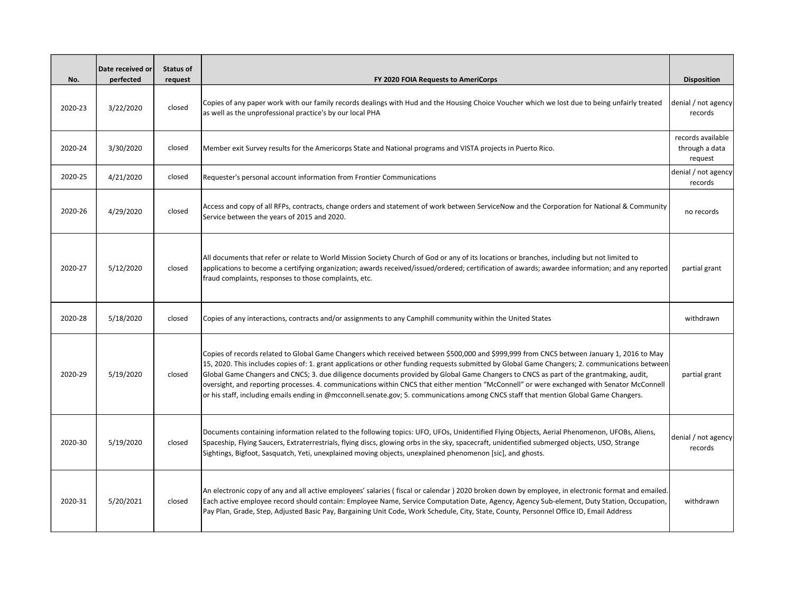| No.     | Date received or<br>perfected | <b>Status of</b><br>request | FY 2020 FOIA Requests to AmeriCorps                                                                                                                                                                                                                                                                                                                                                                                                                                                                                                                                                                                                                                                                                          | <b>Disposition</b>                             |
|---------|-------------------------------|-----------------------------|------------------------------------------------------------------------------------------------------------------------------------------------------------------------------------------------------------------------------------------------------------------------------------------------------------------------------------------------------------------------------------------------------------------------------------------------------------------------------------------------------------------------------------------------------------------------------------------------------------------------------------------------------------------------------------------------------------------------------|------------------------------------------------|
| 2020-23 | 3/22/2020                     | closed                      | Copies of any paper work with our family records dealings with Hud and the Housing Choice Voucher which we lost due to being unfairly treated<br>as well as the unprofessional practice's by our local PHA                                                                                                                                                                                                                                                                                                                                                                                                                                                                                                                   | denial / not agency<br>records                 |
| 2020-24 | 3/30/2020                     | closed                      | Member exit Survey results for the Americorps State and National programs and VISTA projects in Puerto Rico.                                                                                                                                                                                                                                                                                                                                                                                                                                                                                                                                                                                                                 | records available<br>through a data<br>request |
| 2020-25 | 4/21/2020                     | closed                      | Requester's personal account information from Frontier Communications                                                                                                                                                                                                                                                                                                                                                                                                                                                                                                                                                                                                                                                        | denial / not agency<br>records                 |
| 2020-26 | 4/29/2020                     | closed                      | Access and copy of all RFPs, contracts, change orders and statement of work between ServiceNow and the Corporation for National & Community<br>Service between the years of 2015 and 2020.                                                                                                                                                                                                                                                                                                                                                                                                                                                                                                                                   | no records                                     |
| 2020-27 | 5/12/2020                     | closed                      | All documents that refer or relate to World Mission Society Church of God or any of its locations or branches, including but not limited to<br>applications to become a certifying organization; awards received/issued/ordered; certification of awards; awardee information; and any reported<br>fraud complaints, responses to those complaints, etc.                                                                                                                                                                                                                                                                                                                                                                     | partial grant                                  |
| 2020-28 | 5/18/2020                     | closed                      | Copies of any interactions, contracts and/or assignments to any Camphill community within the United States                                                                                                                                                                                                                                                                                                                                                                                                                                                                                                                                                                                                                  | withdrawn                                      |
| 2020-29 | 5/19/2020                     | closed                      | Copies of records related to Global Game Changers which received between \$500,000 and \$999,999 from CNCS between January 1, 2016 to May<br>15, 2020. This includes copies of: 1. grant applications or other funding requests submitted by Global Game Changers; 2. communications between<br>Global Game Changers and CNCS; 3. due diligence documents provided by Global Game Changers to CNCS as part of the grantmaking, audit,<br>oversight, and reporting processes. 4. communications within CNCS that either mention "McConnell" or were exchanged with Senator McConnell<br>or his staff, including emails ending in @mcconnell.senate.gov; 5. communications among CNCS staff that mention Global Game Changers. | partial grant                                  |
| 2020-30 | 5/19/2020                     | closed                      | Documents containing information related to the following topics: UFO, UFOs, Unidentified Flying Objects, Aerial Phenomenon, UFOBs, Aliens,<br>Spaceship, Flying Saucers, Extraterrestrials, flying discs, glowing orbs in the sky, spacecraft, unidentified submerged objects, USO, Strange<br>Sightings, Bigfoot, Sasquatch, Yeti, unexplained moving objects, unexplained phenomenon [sic], and ghosts.                                                                                                                                                                                                                                                                                                                   | denial / not agency<br>records                 |
| 2020-31 | 5/20/2021                     | closed                      | An electronic copy of any and all active employees' salaries (fiscal or calendar) 2020 broken down by employee, in electronic format and emailed.<br>Each active employee record should contain: Employee Name, Service Computation Date, Agency, Agency Sub-element, Duty Station, Occupation,<br>Pay Plan, Grade, Step, Adjusted Basic Pay, Bargaining Unit Code, Work Schedule, City, State, County, Personnel Office ID, Email Address                                                                                                                                                                                                                                                                                   | withdrawn                                      |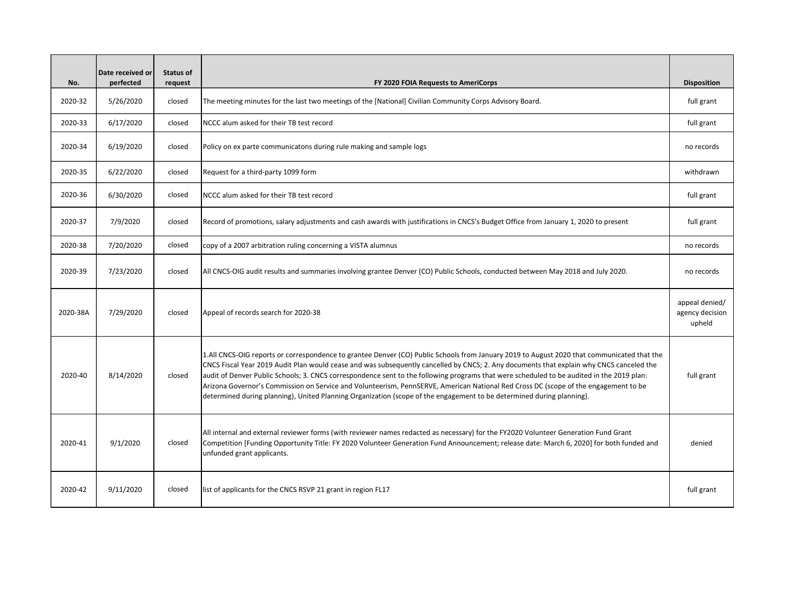| No.      | Date received or<br>perfected | <b>Status of</b><br>request | FY 2020 FOIA Requests to AmeriCorps                                                                                                                                                                                                                                                                                                                                                                                                                                                                                                                                                                                                                                                                 | <b>Disposition</b>                          |
|----------|-------------------------------|-----------------------------|-----------------------------------------------------------------------------------------------------------------------------------------------------------------------------------------------------------------------------------------------------------------------------------------------------------------------------------------------------------------------------------------------------------------------------------------------------------------------------------------------------------------------------------------------------------------------------------------------------------------------------------------------------------------------------------------------------|---------------------------------------------|
| 2020-32  | 5/26/2020                     | closed                      | The meeting minutes for the last two meetings of the [National] Civilian Community Corps Advisory Board.                                                                                                                                                                                                                                                                                                                                                                                                                                                                                                                                                                                            | full grant                                  |
| 2020-33  | 6/17/2020                     | closed                      | NCCC alum asked for their TB test record                                                                                                                                                                                                                                                                                                                                                                                                                                                                                                                                                                                                                                                            | full grant                                  |
| 2020-34  | 6/19/2020                     | closed                      | Policy on ex parte communicatons during rule making and sample logs                                                                                                                                                                                                                                                                                                                                                                                                                                                                                                                                                                                                                                 | no records                                  |
| 2020-35  | 6/22/2020                     | closed                      | Request for a third-party 1099 form                                                                                                                                                                                                                                                                                                                                                                                                                                                                                                                                                                                                                                                                 | withdrawn                                   |
| 2020-36  | 6/30/2020                     | closed                      | NCCC alum asked for their TB test record                                                                                                                                                                                                                                                                                                                                                                                                                                                                                                                                                                                                                                                            | full grant                                  |
| 2020-37  | 7/9/2020                      | closed                      | Record of promotions, salary adjustments and cash awards with justifications in CNCS's Budget Office from January 1, 2020 to present                                                                                                                                                                                                                                                                                                                                                                                                                                                                                                                                                                | full grant                                  |
| 2020-38  | 7/20/2020                     | closed                      | copy of a 2007 arbitration ruling concerning a VISTA alumnus                                                                                                                                                                                                                                                                                                                                                                                                                                                                                                                                                                                                                                        | no records                                  |
| 2020-39  | 7/23/2020                     | closed                      | All CNCS-OIG audit results and summaries involving grantee Denver (CO) Public Schools, conducted between May 2018 and July 2020.                                                                                                                                                                                                                                                                                                                                                                                                                                                                                                                                                                    | no records                                  |
| 2020-38A | 7/29/2020                     | closed                      | Appeal of records search for 2020-38                                                                                                                                                                                                                                                                                                                                                                                                                                                                                                                                                                                                                                                                | appeal denied/<br>agency decision<br>upheld |
| 2020-40  | 8/14/2020                     | closed                      | 1.All CNCS-OIG reports or correspondence to grantee Denver (CO) Public Schools from January 2019 to August 2020 that communicated that the<br>CNCS Fiscal Year 2019 Audit Plan would cease and was subsequently cancelled by CNCS; 2. Any documents that explain why CNCS canceled the<br>audit of Denver Public Schools; 3. CNCS correspondence sent to the following programs that were scheduled to be audited in the 2019 plan:<br>Arizona Governor's Commission on Service and Volunteerism, PennSERVE, American National Red Cross DC (scope of the engagement to be<br>determined during planning), United Planning Organization (scope of the engagement to be determined during planning). | full grant                                  |
| 2020-41  | 9/1/2020                      | closed                      | All internal and external reviewer forms (with reviewer names redacted as necessary) for the FY2020 Volunteer Generation Fund Grant<br>Competition [Funding Opportunity Title: FY 2020 Volunteer Generation Fund Announcement; release date: March 6, 2020] for both funded and<br>unfunded grant applicants.                                                                                                                                                                                                                                                                                                                                                                                       | denied                                      |
| 2020-42  | 9/11/2020                     | closed                      | list of applicants for the CNCS RSVP 21 grant in region FL17                                                                                                                                                                                                                                                                                                                                                                                                                                                                                                                                                                                                                                        | full grant                                  |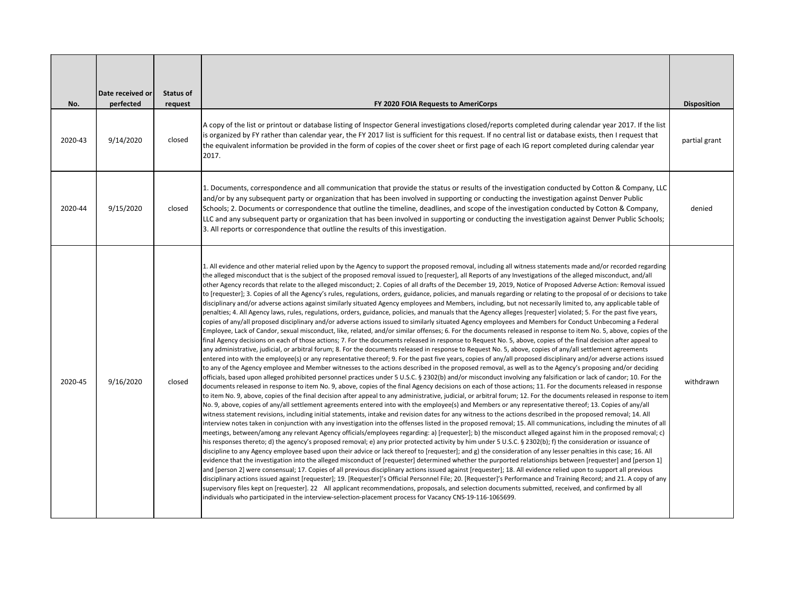|         | Date received or | <b>Status of</b> |                                                                                                                                                                                                                                                                                                                                                                                                                                                                                                                                                                                                                                                                                                                                                                                                                                                                                                                                                                                                                                                                                                                                                                                                                                                                                                                                                                                                                                                                                                                                                                                                                                                                                                                                                                                                                                                                                                                                                                                                                                                                                                                                                                                                                                                                                                                                                                                                                                                                                                                                                                                                                                                                                                                                                                                                                                                                                                                                                                                                                                                                                                                                                                                                                                                                                                                                                                                                                                                                                                                                                                                                                                                                                                                                                                                                                                                                                                                                                                                                                                                                                                                                                                                                                                                                                                                                                |                    |
|---------|------------------|------------------|------------------------------------------------------------------------------------------------------------------------------------------------------------------------------------------------------------------------------------------------------------------------------------------------------------------------------------------------------------------------------------------------------------------------------------------------------------------------------------------------------------------------------------------------------------------------------------------------------------------------------------------------------------------------------------------------------------------------------------------------------------------------------------------------------------------------------------------------------------------------------------------------------------------------------------------------------------------------------------------------------------------------------------------------------------------------------------------------------------------------------------------------------------------------------------------------------------------------------------------------------------------------------------------------------------------------------------------------------------------------------------------------------------------------------------------------------------------------------------------------------------------------------------------------------------------------------------------------------------------------------------------------------------------------------------------------------------------------------------------------------------------------------------------------------------------------------------------------------------------------------------------------------------------------------------------------------------------------------------------------------------------------------------------------------------------------------------------------------------------------------------------------------------------------------------------------------------------------------------------------------------------------------------------------------------------------------------------------------------------------------------------------------------------------------------------------------------------------------------------------------------------------------------------------------------------------------------------------------------------------------------------------------------------------------------------------------------------------------------------------------------------------------------------------------------------------------------------------------------------------------------------------------------------------------------------------------------------------------------------------------------------------------------------------------------------------------------------------------------------------------------------------------------------------------------------------------------------------------------------------------------------------------------------------------------------------------------------------------------------------------------------------------------------------------------------------------------------------------------------------------------------------------------------------------------------------------------------------------------------------------------------------------------------------------------------------------------------------------------------------------------------------------------------------------------------------------------------------------------------------------------------------------------------------------------------------------------------------------------------------------------------------------------------------------------------------------------------------------------------------------------------------------------------------------------------------------------------------------------------------------------------------------------------------------------------------------------------------|--------------------|
| No.     | perfected        | request          | FY 2020 FOIA Requests to AmeriCorps                                                                                                                                                                                                                                                                                                                                                                                                                                                                                                                                                                                                                                                                                                                                                                                                                                                                                                                                                                                                                                                                                                                                                                                                                                                                                                                                                                                                                                                                                                                                                                                                                                                                                                                                                                                                                                                                                                                                                                                                                                                                                                                                                                                                                                                                                                                                                                                                                                                                                                                                                                                                                                                                                                                                                                                                                                                                                                                                                                                                                                                                                                                                                                                                                                                                                                                                                                                                                                                                                                                                                                                                                                                                                                                                                                                                                                                                                                                                                                                                                                                                                                                                                                                                                                                                                                            | <b>Disposition</b> |
| 2020-43 | 9/14/2020        | closed           | A copy of the list or printout or database listing of Inspector General investigations closed/reports completed during calendar year 2017. If the list<br>is organized by FY rather than calendar year, the FY 2017 list is sufficient for this request. If no central list or database exists, then I request that<br>the equivalent information be provided in the form of copies of the cover sheet or first page of each IG report completed during calendar year<br>2017.                                                                                                                                                                                                                                                                                                                                                                                                                                                                                                                                                                                                                                                                                                                                                                                                                                                                                                                                                                                                                                                                                                                                                                                                                                                                                                                                                                                                                                                                                                                                                                                                                                                                                                                                                                                                                                                                                                                                                                                                                                                                                                                                                                                                                                                                                                                                                                                                                                                                                                                                                                                                                                                                                                                                                                                                                                                                                                                                                                                                                                                                                                                                                                                                                                                                                                                                                                                                                                                                                                                                                                                                                                                                                                                                                                                                                                                                 | partial grant      |
| 2020-44 | 9/15/2020        | closed           | 1. Documents, correspondence and all communication that provide the status or results of the investigation conducted by Cotton & Company, LLC<br>and/or by any subsequent party or organization that has been involved in supporting or conducting the investigation against Denver Public<br>Schools; 2. Documents or correspondence that outline the timeline, deadlines, and scope of the investigation conducted by Cotton & Company,<br>LLC and any subsequent party or organization that has been involved in supporting or conducting the investigation against Denver Public Schools;<br>3. All reports or correspondence that outline the results of this investigation.                                                                                                                                                                                                                                                                                                                                                                                                                                                                                                                                                                                                                                                                                                                                                                                                                                                                                                                                                                                                                                                                                                                                                                                                                                                                                                                                                                                                                                                                                                                                                                                                                                                                                                                                                                                                                                                                                                                                                                                                                                                                                                                                                                                                                                                                                                                                                                                                                                                                                                                                                                                                                                                                                                                                                                                                                                                                                                                                                                                                                                                                                                                                                                                                                                                                                                                                                                                                                                                                                                                                                                                                                                                              | denied             |
| 2020-45 | 9/16/2020        | closed           | 1. All evidence and other material relied upon by the Agency to support the proposed removal, including all witness statements made and/or recorded regarding<br>the alleged misconduct that is the subject of the proposed removal issued to [requester], all Reports of any Investigations of the alleged misconduct, and/all<br>other Agency records that relate to the alleged misconduct; 2. Copies of all drafts of the December 19, 2019, Notice of Proposed Adverse Action: Removal issued<br>to [requester]; 3. Copies of all the Agency's rules, regulations, orders, guidance, policies, and manuals regarding or relating to the proposal of or decisions to take<br>disciplinary and/or adverse actions against similarly situated Agency employees and Members, including, but not necessarily limited to, any applicable table of<br>penalties; 4. All Agency laws, rules, regulations, orders, guidance, policies, and manuals that the Agency alleges [requester] violated; 5. For the past five years,<br>copies of any/all proposed disciplinary and/or adverse actions issued to similarly situated Agency employees and Members for Conduct Unbecoming a Federal<br>Employee, Lack of Candor, sexual misconduct, like, related, and/or similar offenses; 6. For the documents released in response to item No. 5, above, copies of the<br>final Agency decisions on each of those actions; 7. For the documents released in response to Request No. 5, above, copies of the final decision after appeal to<br>any administrative, judicial, or arbitral forum; 8. For the documents released in response to Request No. 5, above, copies of any/all settlement agreements<br>entered into with the employee(s) or any representative thereof; 9. For the past five years, copies of any/all proposed disciplinary and/or adverse actions issued<br>to any of the Agency employee and Member witnesses to the actions described in the proposed removal, as well as to the Agency's proposing and/or deciding<br>officials, based upon alleged prohibited personnel practices under 5 U.S.C. § 2302(b) and/or misconduct involving any falsification or lack of candor; 10. For the<br>documents released in response to item No. 9, above, copies of the final Agency decisions on each of those actions; 11. For the documents released in response<br>to item No. 9, above, copies of the final decision after appeal to any administrative, judicial, or arbitral forum; 12. For the documents released in response to item<br>No. 9, above, copies of any/all settlement agreements entered into with the employee(s) and Members or any representative thereof; 13. Copies of any/all<br>witness statement revisions, including initial statements, intake and revision dates for any witness to the actions described in the proposed removal; 14. All<br>interview notes taken in conjunction with any investigation into the offenses listed in the proposed removal; 15. All communications, including the minutes of all<br>meetings, between/among any relevant Agency officials/employees regarding: a) [requester]; b) the misconduct alleged against him in the proposed removal; c)<br>his responses thereto; d) the agency's proposed removal; e) any prior protected activity by him under 5 U.S.C. § 2302(b); f) the consideration or issuance of<br>discipline to any Agency employee based upon their advice or lack thereof to [requester]; and g) the consideration of any lesser penalties in this case; 16. All<br>evidence that the investigation into the alleged misconduct of [requester] determined whether the purported relationships between [requester] and [person 1]<br>and [person 2] were consensual; 17. Copies of all previous disciplinary actions issued against [requester]; 18. All evidence relied upon to support all previous<br>disciplinary actions issued against [requester]; 19. [Requester]'s Official Personnel File; 20. [Requester]'s Performance and Training Record; and 21. A copy of any<br>supervisory files kept on [requester]. 22 All applicant recommendations, proposals, and selection documents submitted, received, and confirmed by all<br>individuals who participated in the interview-selection-placement process for Vacancy CNS-19-116-1065699. | withdrawn          |